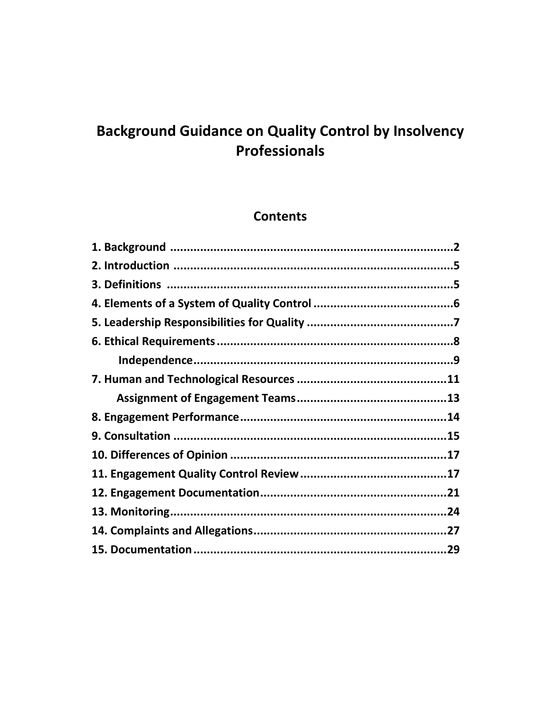# **Background Guidance on Quality Control by Insolvency** Professionals

# **Contents**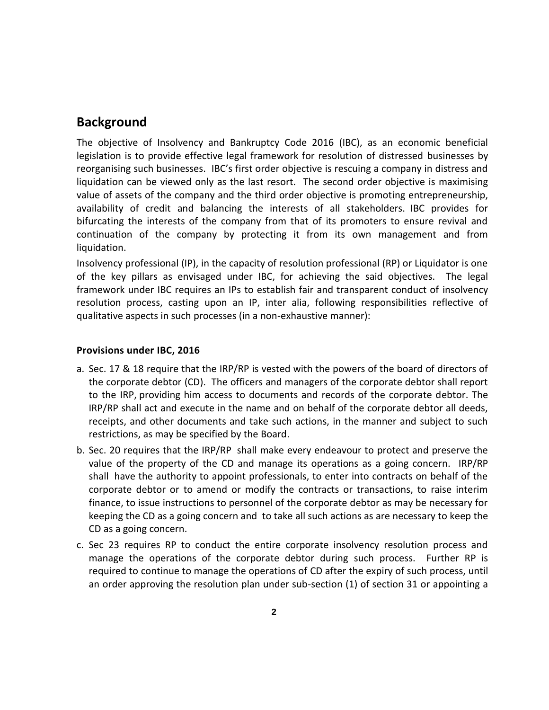# **Background**

The objective of Insolvency and Bankruptcy Code 2016 (IBC), as an economic beneficial legislation is to provide effective legal framework for resolution of distressed businesses by reorganising such businesses. IBC's first order objective is rescuing a company in distress and liquidation can be viewed only as the last resort. The second order objective is maximising value of assets of the company and the third order objective is promoting entrepreneurship, availability of credit and balancing the interests of all stakeholders. IBC provides for bifurcating the interests of the company from that of its promoters to ensure revival and continuation of the company by protecting it from its own management and from liquidation.

Insolvency professional (IP), in the capacity of resolution professional (RP) or Liquidator is one of the key pillars as envisaged under IBC, for achieving the said objectives. The legal framework under IBC requires an IPs to establish fair and transparent conduct of insolvency resolution process, casting upon an IP, inter alia, following responsibilities reflective of qualitative aspects in such processes (in a non-exhaustive manner):

#### **Provisions under IBC, 2016**

- a. Sec. 17 & 18 require that the IRP/RP is vested with the powers of the board of directors of the corporate debtor (CD). The officers and managers of the corporate debtor shall report to the IRP, providing him access to documents and records of the corporate debtor. The IRP/RP shall act and execute in the name and on behalf of the corporate debtor all deeds, receipts, and other documents and take such actions, in the manner and subject to such restrictions, as may be specified by the Board.
- b. Sec. 20 requires that the IRP/RP shall make every endeavour to protect and preserve the value of the property of the CD and manage its operations as a going concern. IRP/RP shall have the authority to appoint professionals, to enter into contracts on behalf of the corporate debtor or to amend or modify the contracts or transactions, to raise interim finance, to issue instructions to personnel of the corporate debtor as may be necessary for keeping the CD as a going concern and to take all such actions as are necessary to keep the CD as a going concern.
- c. Sec 23 requires RP to conduct the entire corporate insolvency resolution process and manage the operations of the corporate debtor during such process. Further RP is required to continue to manage the operations of CD after the expiry of such process, until an order approving the resolution plan under sub-section (1) of section 31 or appointing a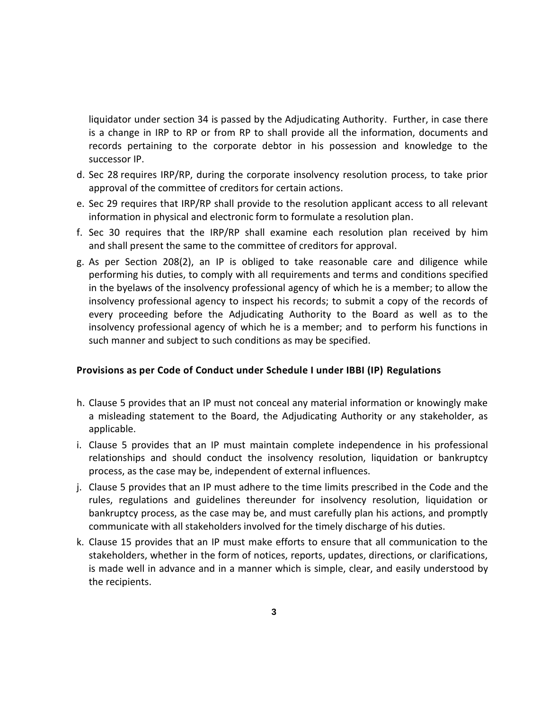liquidator under section 34 is passed by the Adjudicating Authority. Further, in case there is a change in IRP to RP or from RP to shall provide all the information, documents and records pertaining to the corporate debtor in his possession and knowledge to the successor IP.

- d. Sec 28 requires IRP/RP, during the corporate insolvency resolution process, to take prior approval of the committee of creditors for certain actions.
- e. Sec 29 requires that IRP/RP shall provide to the resolution applicant access to all relevant information in physical and electronic form to formulate a resolution plan.
- f. Sec 30 requires that the IRP/RP shall examine each resolution plan received by him and shall present the same to the committee of creditors for approval.
- g. As per Section 208(2), an IP is obliged to take reasonable care and diligence while performing his duties, to comply with all requirements and terms and conditions specified in the byelaws of the insolvency professional agency of which he is a member; to allow the insolvency professional agency to inspect his records; to submit a copy of the records of every proceeding before the Adjudicating Authority to the Board as well as to the insolvency professional agency of which he is a member; and to perform his functions in such manner and subject to such conditions as may be specified.

#### **Provisions as per Code of Conduct under Schedule I under IBBI (IP) Regulations**

- h. Clause 5 provides that an IP must not conceal any material information or knowingly make a misleading statement to the Board, the Adjudicating Authority or any stakeholder, as applicable.
- i. Clause 5 provides that an IP must maintain complete independence in his professional relationships and should conduct the insolvency resolution, liquidation or bankruptcy process, as the case may be, independent of external influences.
- j. Clause 5 provides that an IP must adhere to the time limits prescribed in the Code and the rules, regulations and guidelines thereunder for insolvency resolution, liquidation or bankruptcy process, as the case may be, and must carefully plan his actions, and promptly communicate with all stakeholders involved for the timely discharge of his duties.
- k. Clause 15 provides that an IP must make efforts to ensure that all communication to the stakeholders, whether in the form of notices, reports, updates, directions, or clarifications, is made well in advance and in a manner which is simple, clear, and easily understood by the recipients.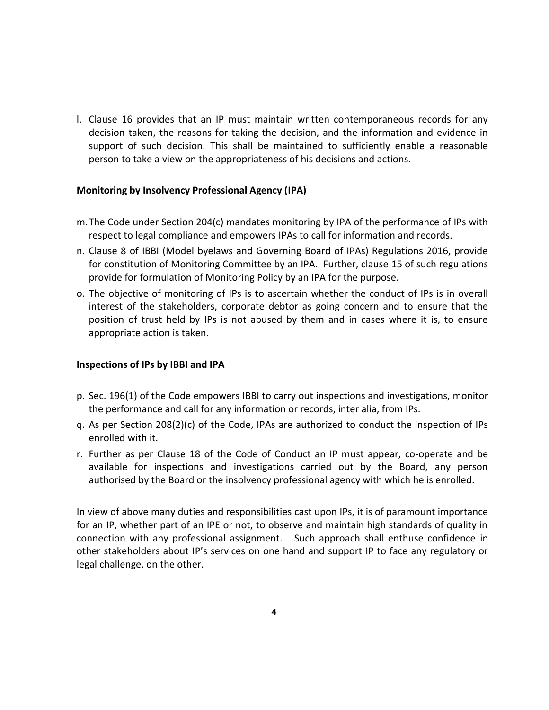l. Clause 16 provides that an IP must maintain written contemporaneous records for any decision taken, the reasons for taking the decision, and the information and evidence in support of such decision. This shall be maintained to sufficiently enable a reasonable person to take a view on the appropriateness of his decisions and actions.

#### **Monitoring by Insolvency Professional Agency (IPA)**

- m.The Code under Section 204(c) mandates monitoring by IPA of the performance of IPs with respect to legal compliance and empowers IPAs to call for information and records.
- n. Clause 8 of IBBI (Model byelaws and Governing Board of IPAs) Regulations 2016, provide for constitution of Monitoring Committee by an IPA. Further, clause 15 of such regulations provide for formulation of Monitoring Policy by an IPA for the purpose.
- o. The objective of monitoring of IPs is to ascertain whether the conduct of IPs is in overall interest of the stakeholders, corporate debtor as going concern and to ensure that the position of trust held by IPs is not abused by them and in cases where it is, to ensure appropriate action is taken.

### **Inspections of IPs by IBBI and IPA**

- p. Sec. 196(1) of the Code empowers IBBI to carry out inspections and investigations, monitor the performance and call for any information or records, inter alia, from IPs.
- q. As per Section 208(2)(c) of the Code, IPAs are authorized to conduct the inspection of IPs enrolled with it.
- r. Further as per Clause 18 of the Code of Conduct an IP must appear, co-operate and be available for inspections and investigations carried out by the Board, any person authorised by the Board or the insolvency professional agency with which he is enrolled.

In view of above many duties and responsibilities cast upon IPs, it is of paramount importance for an IP, whether part of an IPE or not, to observe and maintain high standards of quality in connection with any professional assignment. Such approach shall enthuse confidence in other stakeholders about IP's services on one hand and support IP to face any regulatory or legal challenge, on the other.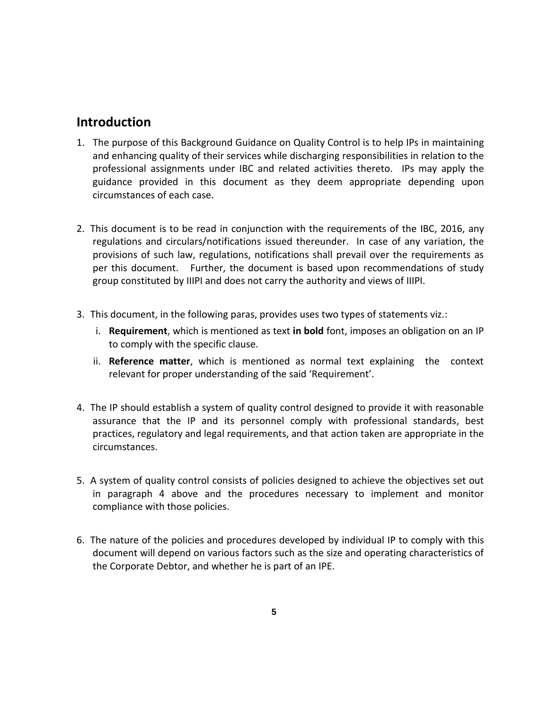# **Introduction**

- 1. The purpose of this Background Guidance on Quality Control is to help IPs in maintaining and enhancing quality of their services while discharging responsibilities in relation to the professional assignments under IBC and related activities thereto. IPs may apply the guidance provided in this document as they deem appropriate depending upon circumstances of each case.
- 2. This document is to be read in conjunction with the requirements of the IBC, 2016, any regulations and circulars/notifications issued thereunder. In case of any variation, the provisions of such law, regulations, notifications shall prevail over the requirements as per this document. Further, the document is based upon recommendations of study group constituted by IIIPI and does not carry the authority and views of IIIPI.
- 3. This document, in the following paras, provides uses two types of statements viz.:
	- i. **Requirement**, which is mentioned as text **in bold** font, imposes an obligation on an IP to comply with the specific clause.
	- ii. **Reference matter**, which is mentioned as normal text explaining the context relevant for proper understanding of the said 'Requirement'.
- 4. The IP should establish a system of quality control designed to provide it with reasonable assurance that the IP and its personnel comply with professional standards, best practices, regulatory and legal requirements, and that action taken are appropriate in the circumstances.
- 5. A system of quality control consists of policies designed to achieve the objectives set out in paragraph 4 above and the procedures necessary to implement and monitor compliance with those policies.
- 6. The nature of the policies and procedures developed by individual IP to comply with this document will depend on various factors such as the size and operating characteristics of the Corporate Debtor, and whether he is part of an IPE.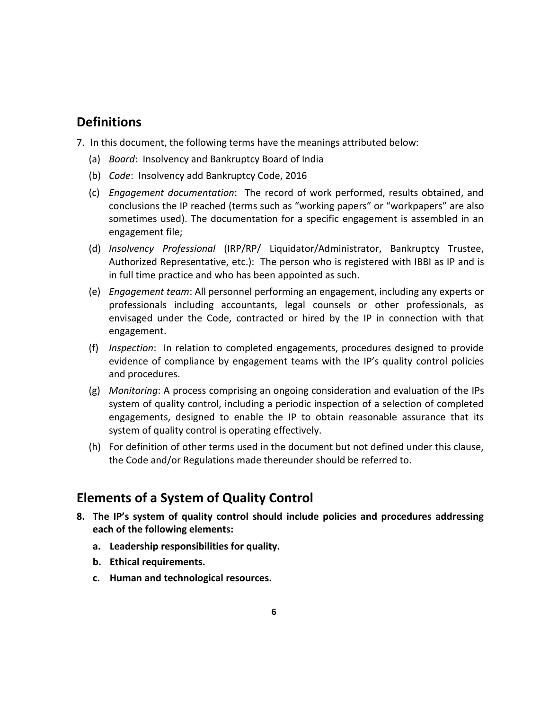# **Definitions**

- 7. In this document, the following terms have the meanings attributed below:
	- (a) *Board*: Insolvency and Bankruptcy Board of India
	- (b) *Code*: Insolvency add Bankruptcy Code, 2016
	- (c) *Engagement documentation*: The record of work performed, results obtained, and conclusions the IP reached (terms such as "working papers" or "workpapers" are also sometimes used). The documentation for a specific engagement is assembled in an engagement file;
	- (d) *Insolvency Professional* (IRP/RP/ Liquidator/Administrator, Bankruptcy Trustee, Authorized Representative, etc.): The person who is registered with IBBI as IP and is in full time practice and who has been appointed as such.
	- (e) *Engagement team*: All personnel performing an engagement, including any experts or professionals including accountants, legal counsels or other professionals, as envisaged under the Code, contracted or hired by the IP in connection with that engagement.
	- (f) *Inspection*: In relation to completed engagements, procedures designed to provide evidence of compliance by engagement teams with the IP's quality control policies and procedures.
	- (g) *Monitoring*: A process comprising an ongoing consideration and evaluation of the IPs system of quality control, including a periodic inspection of a selection of completed engagements, designed to enable the IP to obtain reasonable assurance that its system of quality control is operating effectively.
	- (h) For definition of other terms used in the document but not defined under this clause, the Code and/or Regulations made thereunder should be referred to.

# **Elements of a System of Quality Control**

- **8. The IP's system of quality control should include policies and procedures addressing each of the following elements:** 
	- **a. Leadership responsibilities for quality.**
	- **b. Ethical requirements.**
	- **c. Human and technological resources.**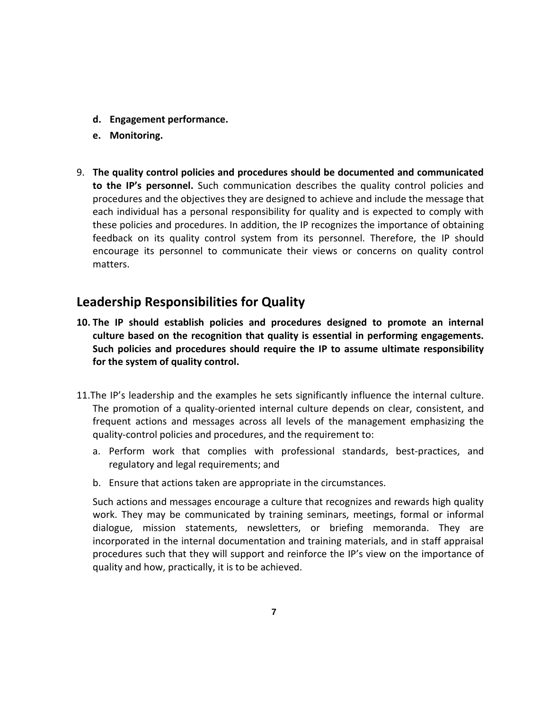- **d. Engagement performance.**
- **e. Monitoring.**
- 9. **The quality control policies and procedures should be documented and communicated to the IP's personnel.** Such communication describes the quality control policies and procedures and the objectives they are designed to achieve and include the message that each individual has a personal responsibility for quality and is expected to comply with these policies and procedures. In addition, the IP recognizes the importance of obtaining feedback on its quality control system from its personnel. Therefore, the IP should encourage its personnel to communicate their views or concerns on quality control matters.

### **Leadership Responsibilities for Quality**

- **10. The IP should establish policies and procedures designed to promote an internal culture based on the recognition that quality is essential in performing engagements. Such policies and procedures should require the IP to assume ultimate responsibility for the system of quality control.**
- 11.The IP's leadership and the examples he sets significantly influence the internal culture. The promotion of a quality-oriented internal culture depends on clear, consistent, and frequent actions and messages across all levels of the management emphasizing the quality-control policies and procedures, and the requirement to:
	- a. Perform work that complies with professional standards, best-practices, and regulatory and legal requirements; and
	- b. Ensure that actions taken are appropriate in the circumstances.

Such actions and messages encourage a culture that recognizes and rewards high quality work. They may be communicated by training seminars, meetings, formal or informal dialogue, mission statements, newsletters, or briefing memoranda. They are incorporated in the internal documentation and training materials, and in staff appraisal procedures such that they will support and reinforce the IP's view on the importance of quality and how, practically, it is to be achieved.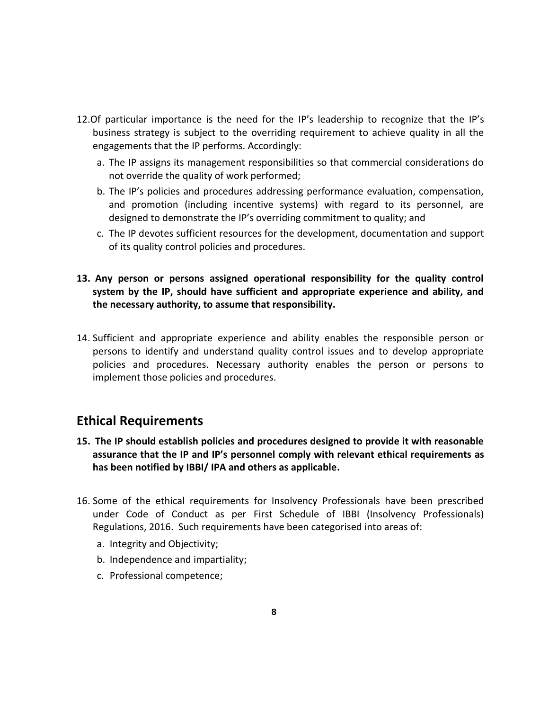- 12.Of particular importance is the need for the IP's leadership to recognize that the IP's business strategy is subject to the overriding requirement to achieve quality in all the engagements that the IP performs. Accordingly:
	- a. The IP assigns its management responsibilities so that commercial considerations do not override the quality of work performed;
	- b. The IP's policies and procedures addressing performance evaluation, compensation, and promotion (including incentive systems) with regard to its personnel, are designed to demonstrate the IP's overriding commitment to quality; and
	- c. The IP devotes sufficient resources for the development, documentation and support of its quality control policies and procedures.
- **13. Any person or persons assigned operational responsibility for the quality control system by the IP, should have sufficient and appropriate experience and ability, and the necessary authority, to assume that responsibility.**
- 14. Sufficient and appropriate experience and ability enables the responsible person or persons to identify and understand quality control issues and to develop appropriate policies and procedures. Necessary authority enables the person or persons to implement those policies and procedures.

# **Ethical Requirements**

- **15. The IP should establish policies and procedures designed to provide it with reasonable assurance that the IP and IP's personnel comply with relevant ethical requirements as has been notified by IBBI/ IPA and others as applicable.**
- 16. Some of the ethical requirements for Insolvency Professionals have been prescribed under Code of Conduct as per First Schedule of IBBI (Insolvency Professionals) Regulations, 2016. Such requirements have been categorised into areas of:
	- a. Integrity and Objectivity;
	- b. Independence and impartiality;
	- c. Professional competence;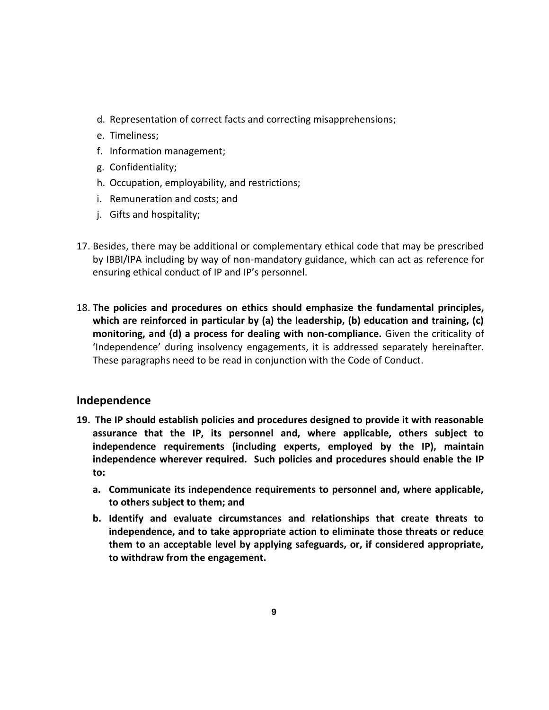- d. Representation of correct facts and correcting misapprehensions;
- e. Timeliness;
- f. Information management;
- g. Confidentiality;
- h. Occupation, employability, and restrictions;
- i. Remuneration and costs; and
- j. Gifts and hospitality;
- 17. Besides, there may be additional or complementary ethical code that may be prescribed by IBBI/IPA including by way of non-mandatory guidance, which can act as reference for ensuring ethical conduct of IP and IP's personnel.
- 18. **The policies and procedures on ethics should emphasize the fundamental principles, which are reinforced in particular by (a) the leadership, (b) education and training, (c) monitoring, and (d) a process for dealing with non-compliance.** Given the criticality of 'Independence' during insolvency engagements, it is addressed separately hereinafter. These paragraphs need to be read in conjunction with the Code of Conduct.

### **Independence**

- **19. The IP should establish policies and procedures designed to provide it with reasonable assurance that the IP, its personnel and, where applicable, others subject to independence requirements (including experts, employed by the IP), maintain independence wherever required. Such policies and procedures should enable the IP to:** 
	- **a. Communicate its independence requirements to personnel and, where applicable, to others subject to them; and**
	- **b. Identify and evaluate circumstances and relationships that create threats to independence, and to take appropriate action to eliminate those threats or reduce them to an acceptable level by applying safeguards, or, if considered appropriate, to withdraw from the engagement.**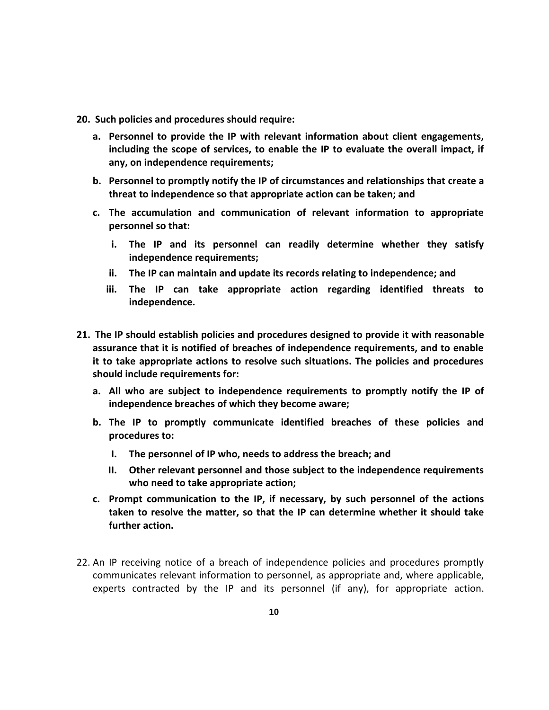- **20. Such policies and procedures should require:** 
	- **a. Personnel to provide the IP with relevant information about client engagements, including the scope of services, to enable the IP to evaluate the overall impact, if any, on independence requirements;**
	- **b. Personnel to promptly notify the IP of circumstances and relationships that create a threat to independence so that appropriate action can be taken; and**
	- **c. The accumulation and communication of relevant information to appropriate personnel so that:**
		- **i. The IP and its personnel can readily determine whether they satisfy independence requirements;**
		- **ii. The IP can maintain and update its records relating to independence; and**
		- **iii. The IP can take appropriate action regarding identified threats to independence.**
- **21. The IP should establish policies and procedures designed to provide it with reasonable assurance that it is notified of breaches of independence requirements, and to enable it to take appropriate actions to resolve such situations. The policies and procedures should include requirements for:**
	- **a. All who are subject to independence requirements to promptly notify the IP of independence breaches of which they become aware;**
	- **b. The IP to promptly communicate identified breaches of these policies and procedures to:** 
		- **I. The personnel of IP who, needs to address the breach; and**
		- **II. Other relevant personnel and those subject to the independence requirements who need to take appropriate action;**
	- **c. Prompt communication to the IP, if necessary, by such personnel of the actions taken to resolve the matter, so that the IP can determine whether it should take further action.**
- 22. An IP receiving notice of a breach of independence policies and procedures promptly communicates relevant information to personnel, as appropriate and, where applicable, experts contracted by the IP and its personnel (if any), for appropriate action.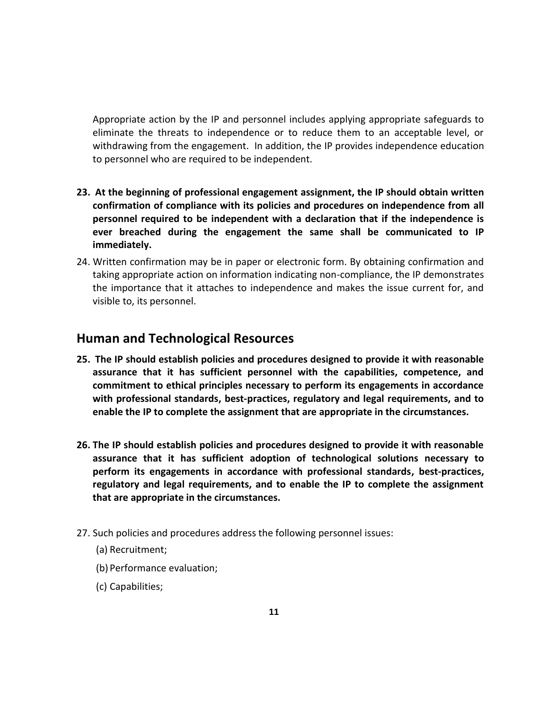Appropriate action by the IP and personnel includes applying appropriate safeguards to eliminate the threats to independence or to reduce them to an acceptable level, or withdrawing from the engagement. In addition, the IP provides independence education to personnel who are required to be independent.

- **23. At the beginning of professional engagement assignment, the IP should obtain written confirmation of compliance with its policies and procedures on independence from all personnel required to be independent with a declaration that if the independence is ever breached during the engagement the same shall be communicated to IP immediately.**
- 24. Written confirmation may be in paper or electronic form. By obtaining confirmation and taking appropriate action on information indicating non-compliance, the IP demonstrates the importance that it attaches to independence and makes the issue current for, and visible to, its personnel.

### **Human and Technological Resources**

- **25. The IP should establish policies and procedures designed to provide it with reasonable assurance that it has sufficient personnel with the capabilities, competence, and commitment to ethical principles necessary to perform its engagements in accordance with professional standards, best-practices, regulatory and legal requirements, and to enable the IP to complete the assignment that are appropriate in the circumstances.**
- **26. The IP should establish policies and procedures designed to provide it with reasonable assurance that it has sufficient adoption of technological solutions necessary to perform its engagements in accordance with professional standards, best-practices, regulatory and legal requirements, and to enable the IP to complete the assignment that are appropriate in the circumstances.**
- 27. Such policies and procedures address the following personnel issues:
	- (a) Recruitment;
	- (b) Performance evaluation;
	- (c) Capabilities;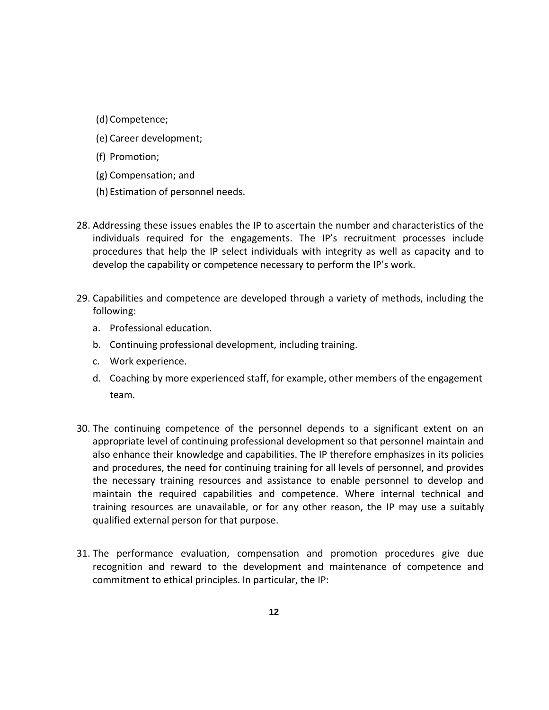- (d) Competence;
- (e) Career development;
- (f) Promotion;
- (g) Compensation; and
- (h) Estimation of personnel needs.
- 28. Addressing these issues enables the IP to ascertain the number and characteristics of the individuals required for the engagements. The IP's recruitment processes include procedures that help the IP select individuals with integrity as well as capacity and to develop the capability or competence necessary to perform the IP's work.
- 29. Capabilities and competence are developed through a variety of methods, including the following:
	- a. Professional education.
	- b. Continuing professional development, including training.
	- c. Work experience.
	- d. Coaching by more experienced staff, for example, other members of the engagement team.
- 30. The continuing competence of the personnel depends to a significant extent on an appropriate level of continuing professional development so that personnel maintain and also enhance their knowledge and capabilities. The IP therefore emphasizes in its policies and procedures, the need for continuing training for all levels of personnel, and provides the necessary training resources and assistance to enable personnel to develop and maintain the required capabilities and competence. Where internal technical and training resources are unavailable, or for any other reason, the IP may use a suitably qualified external person for that purpose.
- 31. The performance evaluation, compensation and promotion procedures give due recognition and reward to the development and maintenance of competence and commitment to ethical principles. In particular, the IP: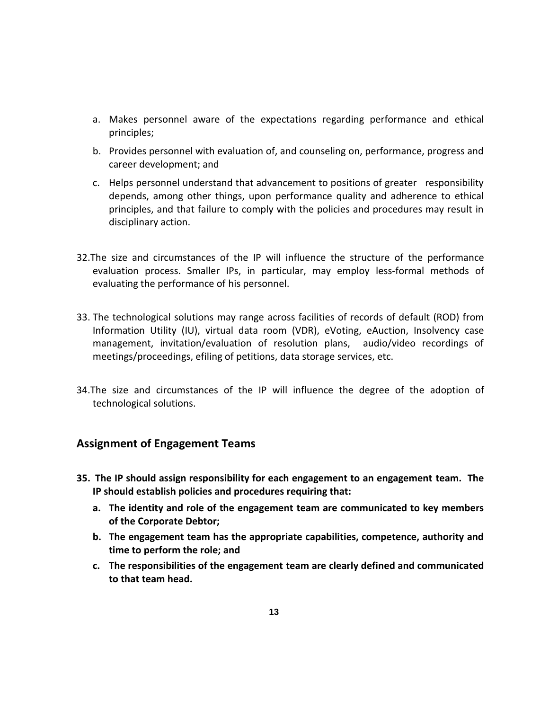- a. Makes personnel aware of the expectations regarding performance and ethical principles;
- b. Provides personnel with evaluation of, and counseling on, performance, progress and career development; and
- c. Helps personnel understand that advancement to positions of greater responsibility depends, among other things, upon performance quality and adherence to ethical principles, and that failure to comply with the policies and procedures may result in disciplinary action.
- 32.The size and circumstances of the IP will influence the structure of the performance evaluation process. Smaller IPs, in particular, may employ less-formal methods of evaluating the performance of his personnel.
- 33. The technological solutions may range across facilities of records of default (ROD) from Information Utility (IU), virtual data room (VDR), eVoting, eAuction, Insolvency case management, invitation/evaluation of resolution plans, audio/video recordings of meetings/proceedings, efiling of petitions, data storage services, etc.
- 34.The size and circumstances of the IP will influence the degree of the adoption of technological solutions.

### **Assignment of Engagement Teams**

- **35. The IP should assign responsibility for each engagement to an engagement team. The IP should establish policies and procedures requiring that:**
	- **a. The identity and role of the engagement team are communicated to key members of the Corporate Debtor;**
	- **b. The engagement team has the appropriate capabilities, competence, authority and time to perform the role; and**
	- **c. The responsibilities of the engagement team are clearly defined and communicated to that team head.**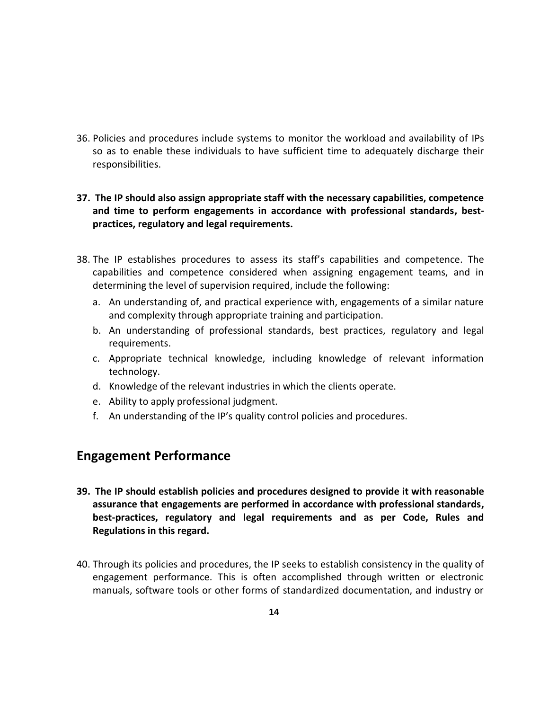36. Policies and procedures include systems to monitor the workload and availability of IPs so as to enable these individuals to have sufficient time to adequately discharge their responsibilities.

### **37. The IP should also assign appropriate staff with the necessary capabilities, competence and time to perform engagements in accordance with professional standards, bestpractices, regulatory and legal requirements.**

- 38. The IP establishes procedures to assess its staff's capabilities and competence. The capabilities and competence considered when assigning engagement teams, and in determining the level of supervision required, include the following:
	- a. An understanding of, and practical experience with, engagements of a similar nature and complexity through appropriate training and participation.
	- b. An understanding of professional standards, best practices, regulatory and legal requirements.
	- c. Appropriate technical knowledge, including knowledge of relevant information technology.
	- d. Knowledge of the relevant industries in which the clients operate.
	- e. Ability to apply professional judgment.
	- f. An understanding of the IP's quality control policies and procedures.

### **Engagement Performance**

- **39. The IP should establish policies and procedures designed to provide it with reasonable assurance that engagements are performed in accordance with professional standards, best-practices, regulatory and legal requirements and as per Code, Rules and Regulations in this regard.**
- 40. Through its policies and procedures, the IP seeks to establish consistency in the quality of engagement performance. This is often accomplished through written or electronic manuals, software tools or other forms of standardized documentation, and industry or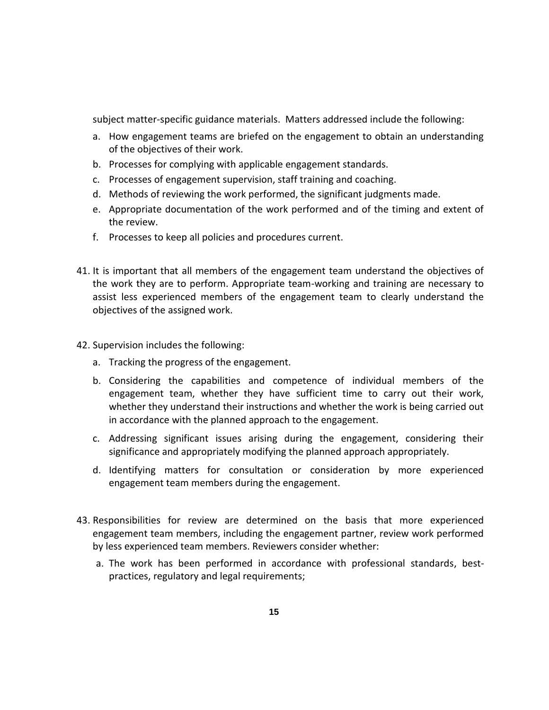subject matter-specific guidance materials. Matters addressed include the following:

- a. How engagement teams are briefed on the engagement to obtain an understanding of the objectives of their work.
- b. Processes for complying with applicable engagement standards.
- c. Processes of engagement supervision, staff training and coaching.
- d. Methods of reviewing the work performed, the significant judgments made.
- e. Appropriate documentation of the work performed and of the timing and extent of the review.
- f. Processes to keep all policies and procedures current.
- 41. It is important that all members of the engagement team understand the objectives of the work they are to perform. Appropriate team-working and training are necessary to assist less experienced members of the engagement team to clearly understand the objectives of the assigned work.
- 42. Supervision includes the following:
	- a. Tracking the progress of the engagement.
	- b. Considering the capabilities and competence of individual members of the engagement team, whether they have sufficient time to carry out their work, whether they understand their instructions and whether the work is being carried out in accordance with the planned approach to the engagement.
	- c. Addressing significant issues arising during the engagement, considering their significance and appropriately modifying the planned approach appropriately.
	- d. Identifying matters for consultation or consideration by more experienced engagement team members during the engagement.
- 43. Responsibilities for review are determined on the basis that more experienced engagement team members, including the engagement partner, review work performed by less experienced team members. Reviewers consider whether:
	- a. The work has been performed in accordance with professional standards, bestpractices, regulatory and legal requirements;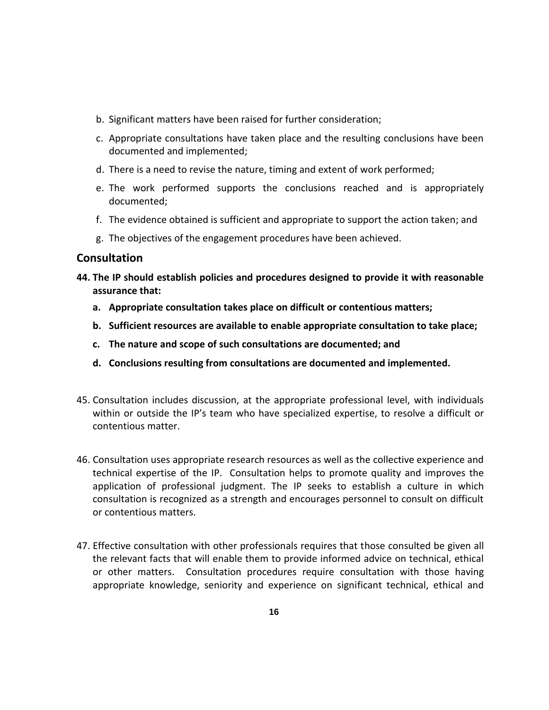- b. Significant matters have been raised for further consideration;
- c. Appropriate consultations have taken place and the resulting conclusions have been documented and implemented;
- d. There is a need to revise the nature, timing and extent of work performed;
- e. The work performed supports the conclusions reached and is appropriately documented;
- f. The evidence obtained is sufficient and appropriate to support the action taken; and
- g. The objectives of the engagement procedures have been achieved.

### **Consultation**

- **44. The IP should establish policies and procedures designed to provide it with reasonable assurance that:**
	- **a. Appropriate consultation takes place on difficult or contentious matters;**
	- **b. Sufficient resources are available to enable appropriate consultation to take place;**
	- **c. The nature and scope of such consultations are documented; and**
	- **d. Conclusions resulting from consultations are documented and implemented.**
- 45. Consultation includes discussion, at the appropriate professional level, with individuals within or outside the IP's team who have specialized expertise, to resolve a difficult or contentious matter.
- 46. Consultation uses appropriate research resources as well as the collective experience and technical expertise of the IP. Consultation helps to promote quality and improves the application of professional judgment. The IP seeks to establish a culture in which consultation is recognized as a strength and encourages personnel to consult on difficult or contentious matters.
- 47. Effective consultation with other professionals requires that those consulted be given all the relevant facts that will enable them to provide informed advice on technical, ethical or other matters. Consultation procedures require consultation with those having appropriate knowledge, seniority and experience on significant technical, ethical and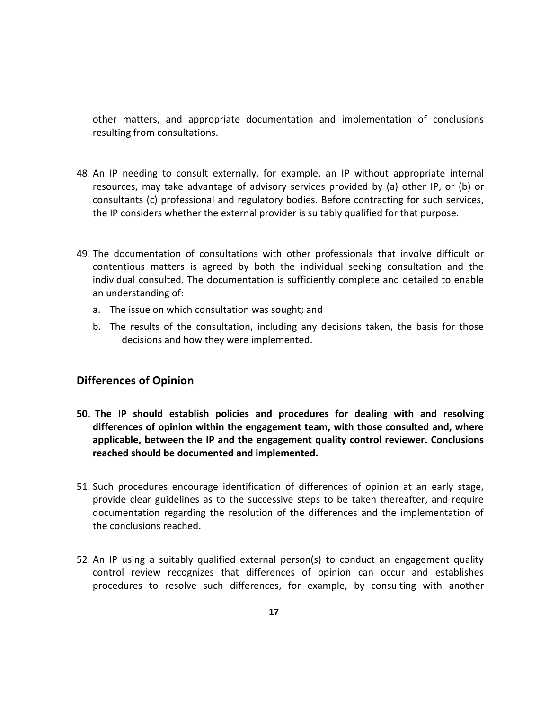other matters, and appropriate documentation and implementation of conclusions resulting from consultations.

- 48. An IP needing to consult externally, for example, an IP without appropriate internal resources, may take advantage of advisory services provided by (a) other IP, or (b) or consultants (c) professional and regulatory bodies. Before contracting for such services, the IP considers whether the external provider is suitably qualified for that purpose.
- 49. The documentation of consultations with other professionals that involve difficult or contentious matters is agreed by both the individual seeking consultation and the individual consulted. The documentation is sufficiently complete and detailed to enable an understanding of:
	- a. The issue on which consultation was sought; and
	- b. The results of the consultation, including any decisions taken, the basis for those decisions and how they were implemented.

### **Differences of Opinion**

- **50. The IP should establish policies and procedures for dealing with and resolving differences of opinion within the engagement team, with those consulted and, where applicable, between the IP and the engagement quality control reviewer. Conclusions reached should be documented and implemented.**
- 51. Such procedures encourage identification of differences of opinion at an early stage, provide clear guidelines as to the successive steps to be taken thereafter, and require documentation regarding the resolution of the differences and the implementation of the conclusions reached.
- 52. An IP using a suitably qualified external person(s) to conduct an engagement quality control review recognizes that differences of opinion can occur and establishes procedures to resolve such differences, for example, by consulting with another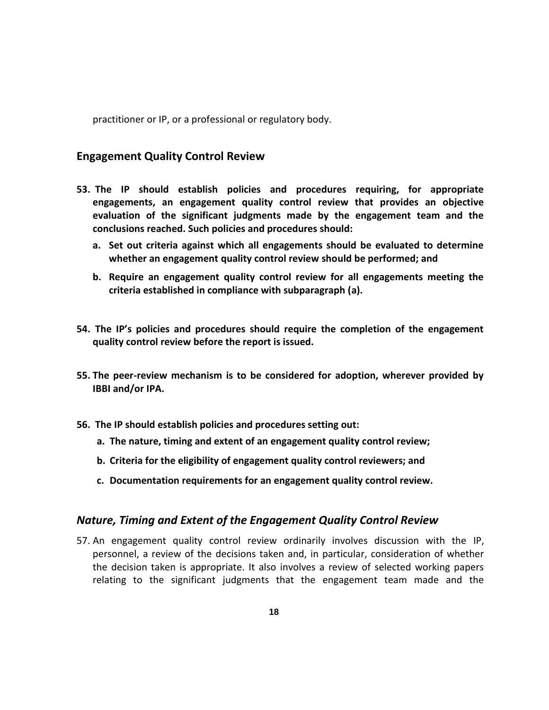practitioner or IP, or a professional or regulatory body.

### **Engagement Quality Control Review**

- **53. The IP should establish policies and procedures requiring, for appropriate engagements, an engagement quality control review that provides an objective evaluation of the significant judgments made by the engagement team and the conclusions reached. Such policies and procedures should:**
	- **a. Set out criteria against which all engagements should be evaluated to determine whether an engagement quality control review should be performed; and**
	- **b. Require an engagement quality control review for all engagements meeting the criteria established in compliance with subparagraph (a).**
- **54. The IP's policies and procedures should require the completion of the engagement quality control review before the report is issued.**
- **55. The peer-review mechanism is to be considered for adoption, wherever provided by IBBI and/or IPA.**
- **56. The IP should establish policies and procedures setting out:**
	- **a. The nature, timing and extent of an engagement quality control review;**
	- **b. Criteria for the eligibility of engagement quality control reviewers; and**
	- **c. Documentation requirements for an engagement quality control review.**

### *Nature, Timing and Extent of the Engagement Quality Control Review*

57. An engagement quality control review ordinarily involves discussion with the IP, personnel, a review of the decisions taken and, in particular, consideration of whether the decision taken is appropriate. It also involves a review of selected working papers relating to the significant judgments that the engagement team made and the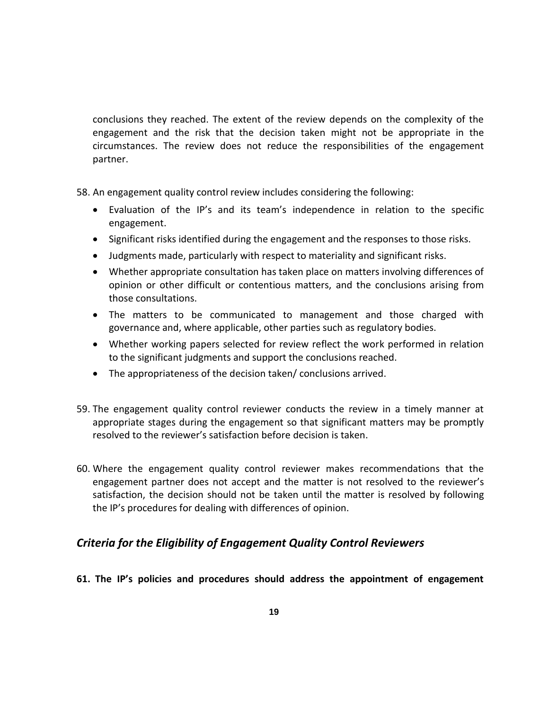conclusions they reached. The extent of the review depends on the complexity of the engagement and the risk that the decision taken might not be appropriate in the circumstances. The review does not reduce the responsibilities of the engagement partner.

- 58. An engagement quality control review includes considering the following:
	- Evaluation of the IP's and its team's independence in relation to the specific engagement.
	- Significant risks identified during the engagement and the responses to those risks.
	- Judgments made, particularly with respect to materiality and significant risks.
	- Whether appropriate consultation has taken place on matters involving differences of opinion or other difficult or contentious matters, and the conclusions arising from those consultations.
	- The matters to be communicated to management and those charged with governance and, where applicable, other parties such as regulatory bodies.
	- Whether working papers selected for review reflect the work performed in relation to the significant judgments and support the conclusions reached.
	- The appropriateness of the decision taken/ conclusions arrived.
- 59. The engagement quality control reviewer conducts the review in a timely manner at appropriate stages during the engagement so that significant matters may be promptly resolved to the reviewer's satisfaction before decision is taken.
- 60. Where the engagement quality control reviewer makes recommendations that the engagement partner does not accept and the matter is not resolved to the reviewer's satisfaction, the decision should not be taken until the matter is resolved by following the IP's procedures for dealing with differences of opinion.

### *Criteria for the Eligibility of Engagement Quality Control Reviewers*

**61. The IP's policies and procedures should address the appointment of engagement**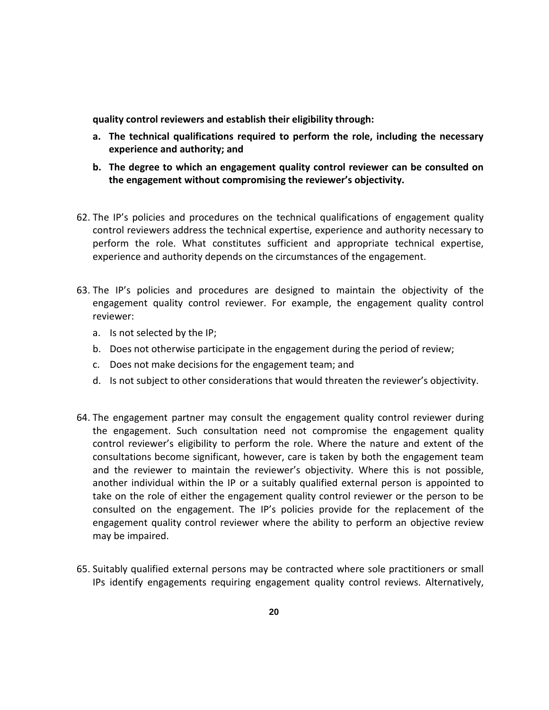**quality control reviewers and establish their eligibility through:**

- **a. The technical qualifications required to perform the role, including the necessary experience and authority; and**
- **b. The degree to which an engagement quality control reviewer can be consulted on the engagement without compromising the reviewer's objectivity.**
- 62. The IP's policies and procedures on the technical qualifications of engagement quality control reviewers address the technical expertise, experience and authority necessary to perform the role. What constitutes sufficient and appropriate technical expertise, experience and authority depends on the circumstances of the engagement.
- 63. The IP's policies and procedures are designed to maintain the objectivity of the engagement quality control reviewer. For example, the engagement quality control reviewer:
	- a. Is not selected by the IP;
	- b. Does not otherwise participate in the engagement during the period of review;
	- c. Does not make decisions for the engagement team; and
	- d. Is not subject to other considerations that would threaten the reviewer's objectivity.
- 64. The engagement partner may consult the engagement quality control reviewer during the engagement. Such consultation need not compromise the engagement quality control reviewer's eligibility to perform the role. Where the nature and extent of the consultations become significant, however, care is taken by both the engagement team and the reviewer to maintain the reviewer's objectivity. Where this is not possible, another individual within the IP or a suitably qualified external person is appointed to take on the role of either the engagement quality control reviewer or the person to be consulted on the engagement. The IP's policies provide for the replacement of the engagement quality control reviewer where the ability to perform an objective review may be impaired.
- 65. Suitably qualified external persons may be contracted where sole practitioners or small IPs identify engagements requiring engagement quality control reviews. Alternatively,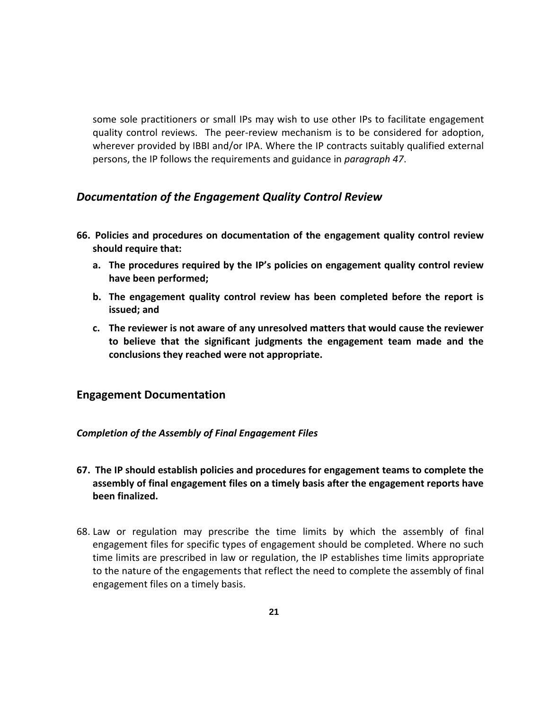some sole practitioners or small IPs may wish to use other IPs to facilitate engagement quality control reviews. The peer-review mechanism is to be considered for adoption, wherever provided by IBBI and/or IPA. Where the IP contracts suitably qualified external persons, the IP follows the requirements and guidance in *paragraph 47*.

### *Documentation of the Engagement Quality Control Review*

- **66. Policies and procedures on documentation of the engagement quality control review should require that:**
	- **a. The procedures required by the IP's policies on engagement quality control review have been performed;**
	- **b. The engagement quality control review has been completed before the report is issued; and**
	- **c. The reviewer is not aware of any unresolved matters that would cause the reviewer to believe that the significant judgments the engagement team made and the conclusions they reached were not appropriate.**

### **Engagement Documentation**

### *Completion of the Assembly of Final Engagement Files*

- **67. The IP should establish policies and procedures for engagement teams to complete the assembly of final engagement files on a timely basis after the engagement reports have been finalized.**
- 68. Law or regulation may prescribe the time limits by which the assembly of final engagement files for specific types of engagement should be completed. Where no such time limits are prescribed in law or regulation, the IP establishes time limits appropriate to the nature of the engagements that reflect the need to complete the assembly of final engagement files on a timely basis.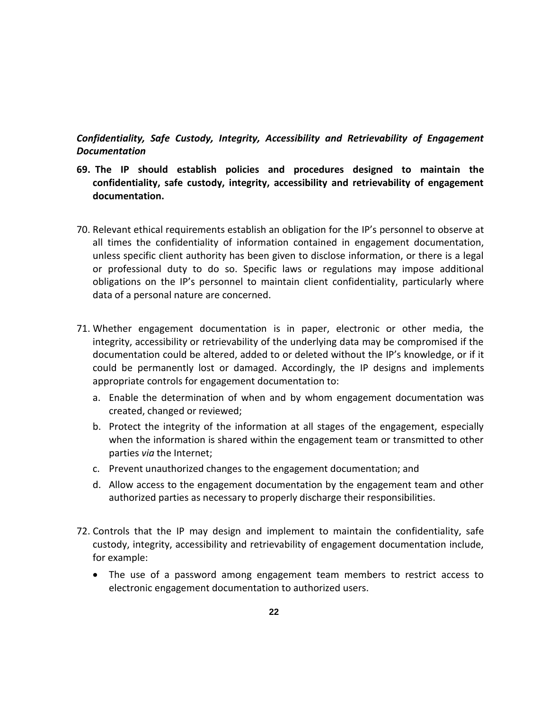*Confidentiality, Safe Custody, Integrity, Accessibility and Retrievability of Engagement Documentation*

- **69. The IP should establish policies and procedures designed to maintain the confidentiality, safe custody, integrity, accessibility and retrievability of engagement documentation.**
- 70. Relevant ethical requirements establish an obligation for the IP's personnel to observe at all times the confidentiality of information contained in engagement documentation, unless specific client authority has been given to disclose information, or there is a legal or professional duty to do so. Specific laws or regulations may impose additional obligations on the IP's personnel to maintain client confidentiality, particularly where data of a personal nature are concerned.
- 71. Whether engagement documentation is in paper, electronic or other media, the integrity, accessibility or retrievability of the underlying data may be compromised if the documentation could be altered, added to or deleted without the IP's knowledge, or if it could be permanently lost or damaged. Accordingly, the IP designs and implements appropriate controls for engagement documentation to:
	- a. Enable the determination of when and by whom engagement documentation was created, changed or reviewed;
	- b. Protect the integrity of the information at all stages of the engagement, especially when the information is shared within the engagement team or transmitted to other parties *via* the Internet;
	- c. Prevent unauthorized changes to the engagement documentation; and
	- d. Allow access to the engagement documentation by the engagement team and other authorized parties as necessary to properly discharge their responsibilities.
- 72. Controls that the IP may design and implement to maintain the confidentiality, safe custody, integrity, accessibility and retrievability of engagement documentation include, for example:
	- The use of a password among engagement team members to restrict access to electronic engagement documentation to authorized users.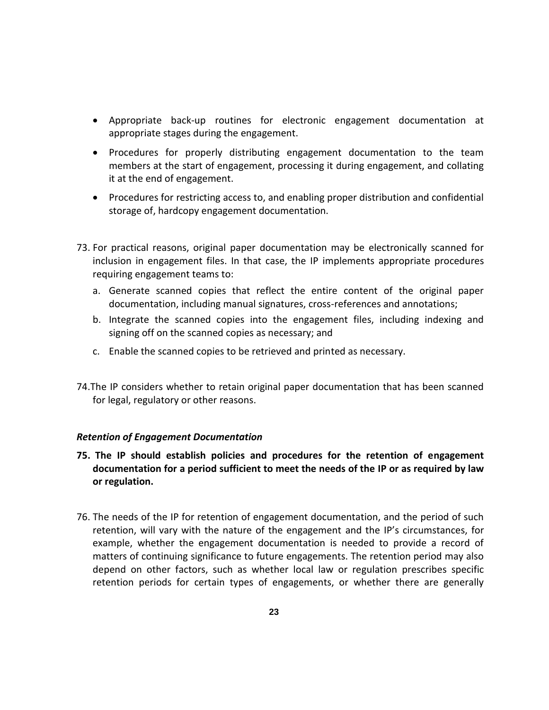- Appropriate back-up routines for electronic engagement documentation at appropriate stages during the engagement.
- Procedures for properly distributing engagement documentation to the team members at the start of engagement, processing it during engagement, and collating it at the end of engagement.
- Procedures for restricting access to, and enabling proper distribution and confidential storage of, hardcopy engagement documentation.
- 73. For practical reasons, original paper documentation may be electronically scanned for inclusion in engagement files. In that case, the IP implements appropriate procedures requiring engagement teams to:
	- a. Generate scanned copies that reflect the entire content of the original paper documentation, including manual signatures, cross-references and annotations;
	- b. Integrate the scanned copies into the engagement files, including indexing and signing off on the scanned copies as necessary; and
	- c. Enable the scanned copies to be retrieved and printed as necessary.
- 74.The IP considers whether to retain original paper documentation that has been scanned for legal, regulatory or other reasons.

### *Retention of Engagement Documentation*

- **75. The IP should establish policies and procedures for the retention of engagement documentation for a period sufficient to meet the needs of the IP or as required by law or regulation.**
- 76. The needs of the IP for retention of engagement documentation, and the period of such retention, will vary with the nature of the engagement and the IP's circumstances, for example, whether the engagement documentation is needed to provide a record of matters of continuing significance to future engagements. The retention period may also depend on other factors, such as whether local law or regulation prescribes specific retention periods for certain types of engagements, or whether there are generally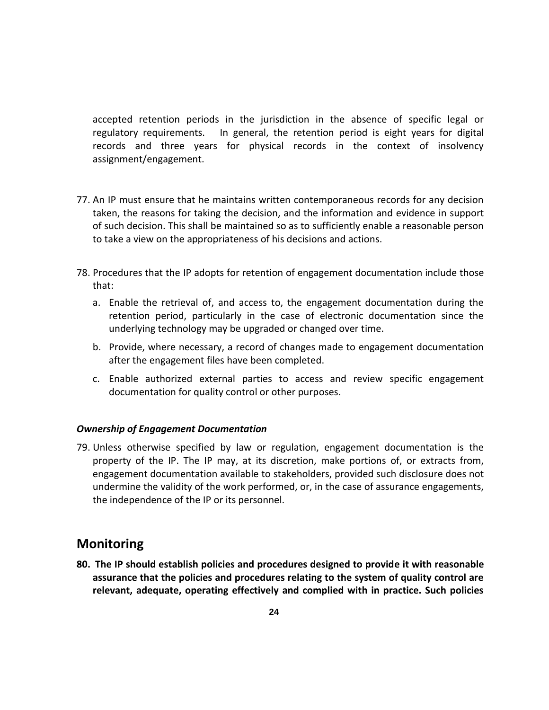accepted retention periods in the jurisdiction in the absence of specific legal or regulatory requirements. In general, the retention period is eight years for digital records and three years for physical records in the context of insolvency assignment/engagement.

- 77. An IP must ensure that he maintains written contemporaneous records for any decision taken, the reasons for taking the decision, and the information and evidence in support of such decision. This shall be maintained so as to sufficiently enable a reasonable person to take a view on the appropriateness of his decisions and actions.
- 78. Procedures that the IP adopts for retention of engagement documentation include those that:
	- a. Enable the retrieval of, and access to, the engagement documentation during the retention period, particularly in the case of electronic documentation since the underlying technology may be upgraded or changed over time.
	- b. Provide, where necessary, a record of changes made to engagement documentation after the engagement files have been completed.
	- c. Enable authorized external parties to access and review specific engagement documentation for quality control or other purposes.

#### *Ownership of Engagement Documentation*

79. Unless otherwise specified by law or regulation, engagement documentation is the property of the IP. The IP may, at its discretion, make portions of, or extracts from, engagement documentation available to stakeholders, provided such disclosure does not undermine the validity of the work performed, or, in the case of assurance engagements, the independence of the IP or its personnel.

### **Monitoring**

**80. The IP should establish policies and procedures designed to provide it with reasonable assurance that the policies and procedures relating to the system of quality control are relevant, adequate, operating effectively and complied with in practice. Such policies**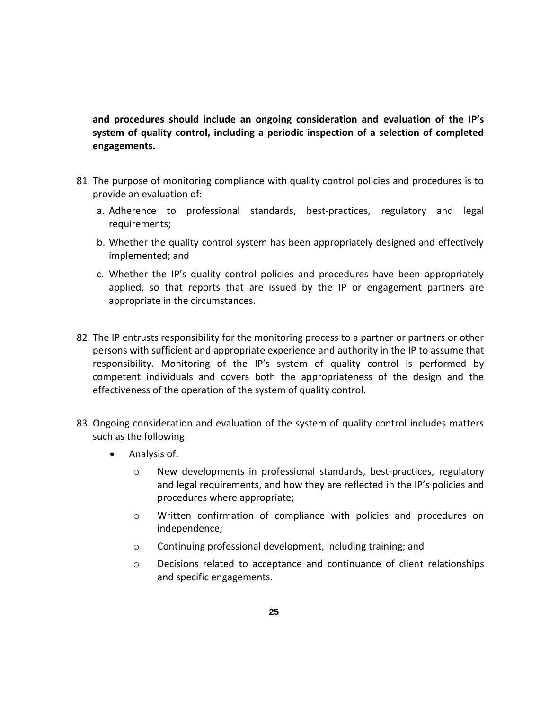**and procedures should include an ongoing consideration and evaluation of the IP's system of quality control, including a periodic inspection of a selection of completed engagements.**

- 81. The purpose of monitoring compliance with quality control policies and procedures is to provide an evaluation of:
	- a. Adherence to professional standards, best-practices, regulatory and legal requirements;
	- b. Whether the quality control system has been appropriately designed and effectively implemented; and
	- c. Whether the IP's quality control policies and procedures have been appropriately applied, so that reports that are issued by the IP or engagement partners are appropriate in the circumstances.
- 82. The IP entrusts responsibility for the monitoring process to a partner or partners or other persons with sufficient and appropriate experience and authority in the IP to assume that responsibility. Monitoring of the IP's system of quality control is performed by competent individuals and covers both the appropriateness of the design and the effectiveness of the operation of the system of quality control.
- 83. Ongoing consideration and evaluation of the system of quality control includes matters such as the following:
	- Analysis of:
		- o New developments in professional standards, best-practices, regulatory and legal requirements, and how they are reflected in the IP's policies and procedures where appropriate;
		- o Written confirmation of compliance with policies and procedures on independence;
		- o Continuing professional development, including training; and
		- o Decisions related to acceptance and continuance of client relationships and specific engagements.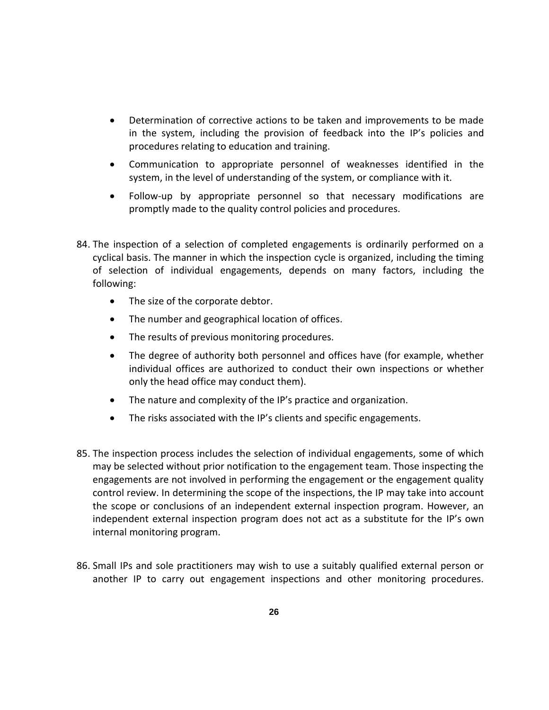- Determination of corrective actions to be taken and improvements to be made in the system, including the provision of feedback into the IP's policies and procedures relating to education and training.
- Communication to appropriate personnel of weaknesses identified in the system, in the level of understanding of the system, or compliance with it.
- Follow-up by appropriate personnel so that necessary modifications are promptly made to the quality control policies and procedures.
- 84. The inspection of a selection of completed engagements is ordinarily performed on a cyclical basis. The manner in which the inspection cycle is organized, including the timing of selection of individual engagements, depends on many factors, including the following:
	- The size of the corporate debtor.
	- The number and geographical location of offices.
	- The results of previous monitoring procedures.
	- The degree of authority both personnel and offices have (for example, whether individual offices are authorized to conduct their own inspections or whether only the head office may conduct them).
	- The nature and complexity of the IP's practice and organization.
	- The risks associated with the IP's clients and specific engagements.
- 85. The inspection process includes the selection of individual engagements, some of which may be selected without prior notification to the engagement team. Those inspecting the engagements are not involved in performing the engagement or the engagement quality control review. In determining the scope of the inspections, the IP may take into account the scope or conclusions of an independent external inspection program. However, an independent external inspection program does not act as a substitute for the IP's own internal monitoring program.
- 86. Small IPs and sole practitioners may wish to use a suitably qualified external person or another IP to carry out engagement inspections and other monitoring procedures.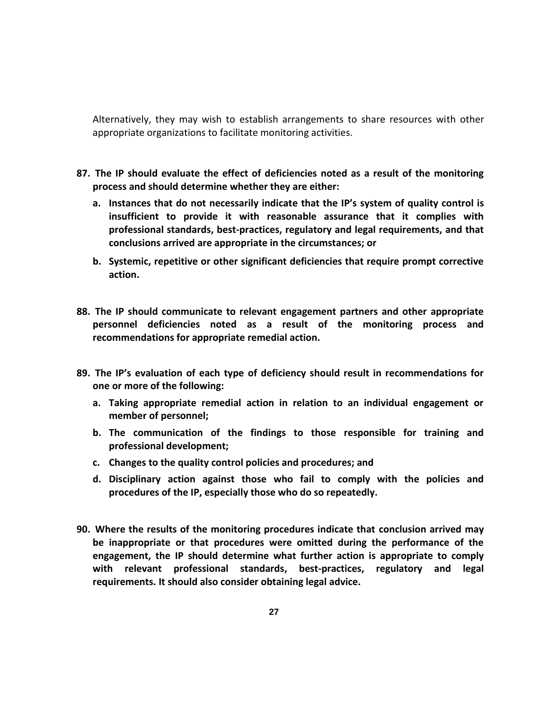Alternatively, they may wish to establish arrangements to share resources with other appropriate organizations to facilitate monitoring activities.

- **87. The IP should evaluate the effect of deficiencies noted as a result of the monitoring process and should determine whether they are either:** 
	- **a. Instances that do not necessarily indicate that the IP's system of quality control is insufficient to provide it with reasonable assurance that it complies with professional standards, best-practices, regulatory and legal requirements, and that conclusions arrived are appropriate in the circumstances; or**
	- **b. Systemic, repetitive or other significant deficiencies that require prompt corrective action.**
- **88. The IP should communicate to relevant engagement partners and other appropriate personnel deficiencies noted as a result of the monitoring process and recommendations for appropriate remedial action.**
- **89. The IP's evaluation of each type of deficiency should result in recommendations for one or more of the following:**
	- **a. Taking appropriate remedial action in relation to an individual engagement or member of personnel;**
	- **b. The communication of the findings to those responsible for training and professional development;**
	- **c. Changes to the quality control policies and procedures; and**
	- **d. Disciplinary action against those who fail to comply with the policies and procedures of the IP, especially those who do so repeatedly.**
- **90. Where the results of the monitoring procedures indicate that conclusion arrived may be inappropriate or that procedures were omitted during the performance of the engagement, the IP should determine what further action is appropriate to comply with relevant professional standards, best-practices, regulatory and legal requirements. It should also consider obtaining legal advice.**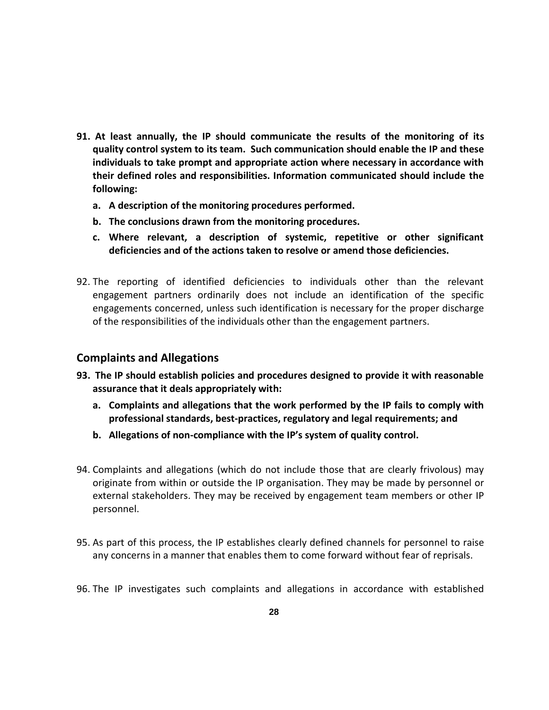- **91. At least annually, the IP should communicate the results of the monitoring of its quality control system to its team. Such communication should enable the IP and these individuals to take prompt and appropriate action where necessary in accordance with their defined roles and responsibilities. Information communicated should include the following:**
	- **a. A description of the monitoring procedures performed.**
	- **b. The conclusions drawn from the monitoring procedures.**
	- **c. Where relevant, a description of systemic, repetitive or other significant deficiencies and of the actions taken to resolve or amend those deficiencies.**
- 92. The reporting of identified deficiencies to individuals other than the relevant engagement partners ordinarily does not include an identification of the specific engagements concerned, unless such identification is necessary for the proper discharge of the responsibilities of the individuals other than the engagement partners.

### **Complaints and Allegations**

- **93. The IP should establish policies and procedures designed to provide it with reasonable assurance that it deals appropriately with:**
	- **a. Complaints and allegations that the work performed by the IP fails to comply with professional standards, best-practices, regulatory and legal requirements; and**
	- **b. Allegations of non-compliance with the IP's system of quality control.**
- 94. Complaints and allegations (which do not include those that are clearly frivolous) may originate from within or outside the IP organisation. They may be made by personnel or external stakeholders. They may be received by engagement team members or other IP personnel.
- 95. As part of this process, the IP establishes clearly defined channels for personnel to raise any concerns in a manner that enables them to come forward without fear of reprisals.
- 96. The IP investigates such complaints and allegations in accordance with established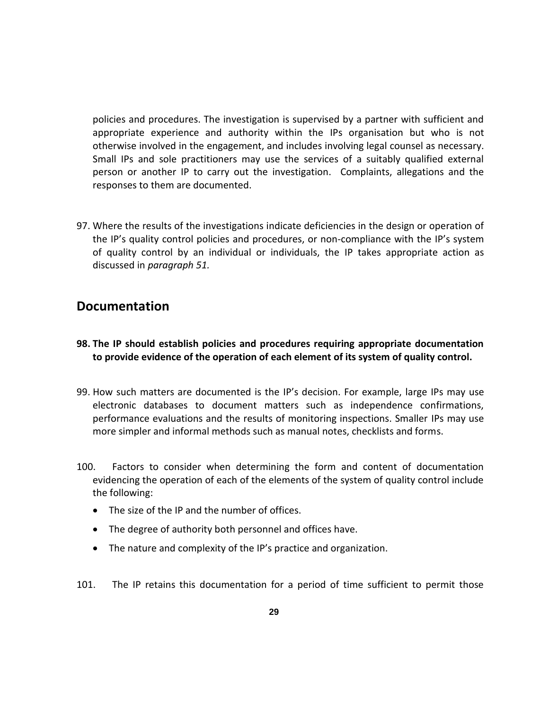policies and procedures. The investigation is supervised by a partner with sufficient and appropriate experience and authority within the IPs organisation but who is not otherwise involved in the engagement, and includes involving legal counsel as necessary. Small IPs and sole practitioners may use the services of a suitably qualified external person or another IP to carry out the investigation. Complaints, allegations and the responses to them are documented.

97. Where the results of the investigations indicate deficiencies in the design or operation of the IP's quality control policies and procedures, or non-compliance with the IP's system of quality control by an individual or individuals, the IP takes appropriate action as discussed in *paragraph 51.*

### **Documentation**

- **98. The IP should establish policies and procedures requiring appropriate documentation to provide evidence of the operation of each element of its system of quality control.**
- 99. How such matters are documented is the IP's decision. For example, large IPs may use electronic databases to document matters such as independence confirmations, performance evaluations and the results of monitoring inspections. Smaller IPs may use more simpler and informal methods such as manual notes, checklists and forms.
- 100. Factors to consider when determining the form and content of documentation evidencing the operation of each of the elements of the system of quality control include the following:
	- The size of the IP and the number of offices.
	- The degree of authority both personnel and offices have.
	- The nature and complexity of the IP's practice and organization.
- 101. The IP retains this documentation for a period of time sufficient to permit those